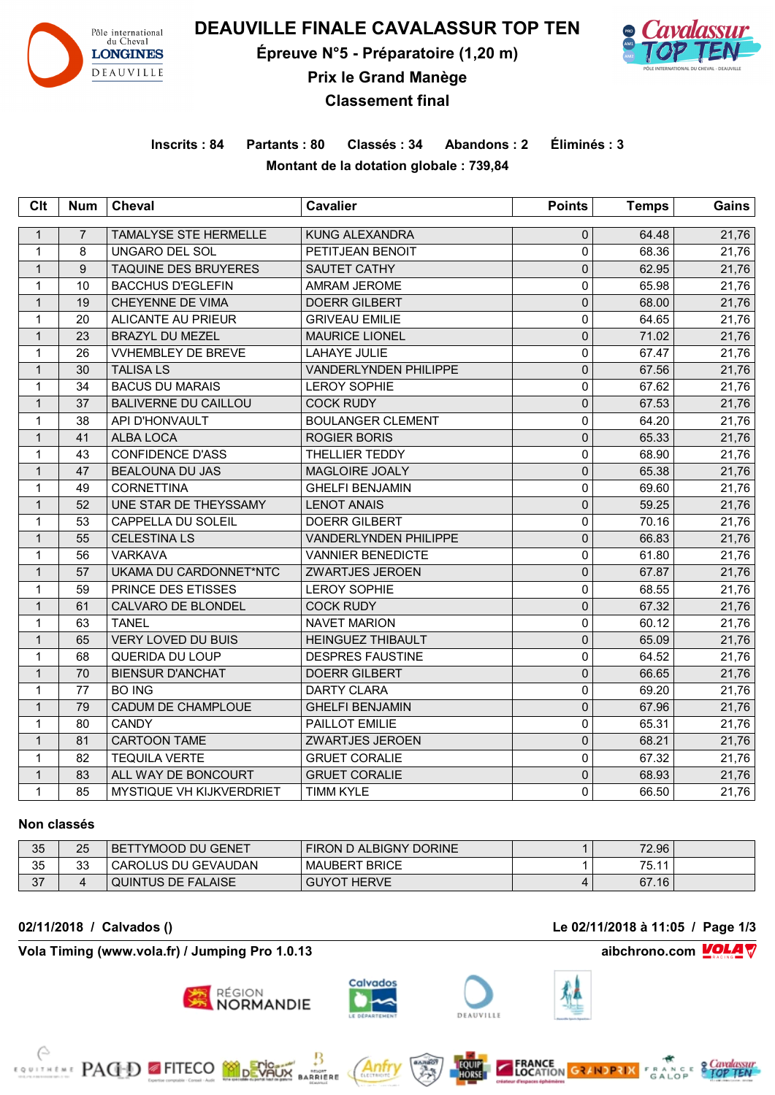

**DEAUVILLE FINALE CAVALASSUR TOP TEN**

**Épreuve N°5 - Préparatoire (1,20 m)**



**Prix le Grand Manège**

**Classement final**

**Inscrits : 84 Partants : 80 Classés : 34 Abandons : 2 Éliminés : 3 Montant de la dotation globale : 739,84**

| Clt          | <b>Num</b>     | <b>Cheval</b>                   | <b>Cavalier</b>              | <b>Points</b> | <b>Temps</b> | Gains |
|--------------|----------------|---------------------------------|------------------------------|---------------|--------------|-------|
| $\mathbf{1}$ | $\overline{7}$ | <b>TAMALYSE STE HERMELLE</b>    | <b>KUNG ALEXANDRA</b>        | $\mathbf 0$   | 64.48        | 21,76 |
| $\mathbf{1}$ | 8              | <b>UNGARO DEL SOL</b>           | PETITJEAN BENOIT             | 0             | 68.36        | 21,76 |
| $\mathbf{1}$ | 9              | <b>TAQUINE DES BRUYERES</b>     | SAUTET CATHY                 | $\mathbf 0$   | 62.95        | 21,76 |
| 1            | 10             | <b>BACCHUS D'EGLEFIN</b>        | <b>AMRAM JEROME</b>          | $\pmb{0}$     | 65.98        | 21,76 |
| $\mathbf{1}$ | 19             | CHEYENNE DE VIMA                | <b>DOERR GILBERT</b>         | $\pmb{0}$     | 68.00        | 21,76 |
| $\mathbf{1}$ | 20             | <b>ALICANTE AU PRIEUR</b>       | <b>GRIVEAU EMILIE</b>        | $\pmb{0}$     | 64.65        | 21,76 |
| $\mathbf{1}$ | 23             | <b>BRAZYL DU MEZEL</b>          | <b>MAURICE LIONEL</b>        | $\pmb{0}$     | 71.02        | 21,76 |
| $\mathbf{1}$ | 26             | <b>VVHEMBLEY DE BREVE</b>       | <b>LAHAYE JULIE</b>          | $\pmb{0}$     | 67.47        | 21,76 |
| $\mathbf{1}$ | 30             | <b>TALISA LS</b>                | <b>VANDERLYNDEN PHILIPPE</b> | $\pmb{0}$     | 67.56        | 21,76 |
| $\mathbf{1}$ | 34             | <b>BACUS DU MARAIS</b>          | <b>LEROY SOPHIE</b>          | $\mathbf 0$   | 67.62        | 21,76 |
| $\mathbf{1}$ | 37             | <b>BALIVERNE DU CAILLOU</b>     | <b>COCK RUDY</b>             | $\mathbf 0$   | 67.53        | 21,76 |
| 1            | 38             | API D'HONVAULT                  | <b>BOULANGER CLEMENT</b>     | $\pmb{0}$     | 64.20        | 21,76 |
| $\mathbf{1}$ | 41             | ALBA LOCA                       | <b>ROGIER BORIS</b>          | $\mathbf 0$   | 65.33        | 21,76 |
| $\mathbf{1}$ | 43             | <b>CONFIDENCE D'ASS</b>         | THELLIER TEDDY               | $\pmb{0}$     | 68.90        | 21,76 |
| $\mathbf{1}$ | 47             | <b>BEALOUNA DU JAS</b>          | MAGLOIRE JOALY               | $\pmb{0}$     | 65.38        | 21,76 |
| $\mathbf{1}$ | 49             | <b>CORNETTINA</b>               | <b>GHELFI BENJAMIN</b>       | $\mathsf 0$   | 69.60        | 21,76 |
| $\mathbf{1}$ | 52             | UNE STAR DE THEYSSAMY           | <b>LENOT ANAIS</b>           | $\pmb{0}$     | 59.25        | 21,76 |
| $\mathbf{1}$ | 53             | CAPPELLA DU SOLEIL              | <b>DOERR GILBERT</b>         | $\pmb{0}$     | 70.16        | 21,76 |
| $\mathbf{1}$ | 55             | <b>CELESTINA LS</b>             | VANDERLYNDEN PHILIPPE        | $\pmb{0}$     | 66.83        | 21,76 |
| $\mathbf{1}$ | 56             | <b>VARKAVA</b>                  | <b>VANNIER BENEDICTE</b>     | $\pmb{0}$     | 61.80        | 21,76 |
| $\mathbf{1}$ | 57             | UKAMA DU CARDONNET*NTC          | <b>ZWARTJES JEROEN</b>       | $\mathbf 0$   | 67.87        | 21,76 |
| 1            | 59             | PRINCE DES ETISSES              | <b>LEROY SOPHIE</b>          | $\pmb{0}$     | 68.55        | 21,76 |
| $\mathbf{1}$ | 61             | CALVARO DE BLONDEL              | <b>COCK RUDY</b>             | $\pmb{0}$     | 67.32        | 21,76 |
| 1            | 63             | <b>TANEL</b>                    | <b>NAVET MARION</b>          | $\pmb{0}$     | 60.12        | 21,76 |
| $\mathbf{1}$ | 65             | <b>VERY LOVED DU BUIS</b>       | <b>HEINGUEZ THIBAULT</b>     | $\mathbf 0$   | 65.09        | 21,76 |
| 1            | 68             | <b>QUERIDA DU LOUP</b>          | <b>DESPRES FAUSTINE</b>      | $\pmb{0}$     | 64.52        | 21,76 |
| $\mathbf{1}$ | 70             | <b>BIENSUR D'ANCHAT</b>         | <b>DOERR GILBERT</b>         | $\mathbf 0$   | 66.65        | 21,76 |
| 1            | 77             | <b>BO ING</b>                   | <b>DARTY CLARA</b>           | $\Omega$      | 69.20        | 21,76 |
| $\mathbf{1}$ | 79             | CADUM DE CHAMPLOUE              | <b>GHELFI BENJAMIN</b>       | $\mathbf 0$   | 67.96        | 21,76 |
| $\mathbf{1}$ | 80             | <b>CANDY</b>                    | PAILLOT EMILIE               | $\mathbf 0$   | 65.31        | 21,76 |
| $\mathbf{1}$ | 81             | <b>CARTOON TAME</b>             | <b>ZWARTJES JEROEN</b>       | $\mathbf 0$   | 68.21        | 21,76 |
| 1            | 82             | <b>TEQUILA VERTE</b>            | <b>GRUET CORALIE</b>         | $\mathbf 0$   | 67.32        | 21,76 |
| $\mathbf{1}$ | 83             | ALL WAY DE BONCOURT             | <b>GRUET CORALIE</b>         | $\mathbf 0$   | 68.93        | 21,76 |
| 1            | 85             | <b>MYSTIQUE VH KIJKVERDRIET</b> | <b>TIMM KYLE</b>             | $\Omega$      | 66.50        | 21,76 |

#### **Non classés**

| 35 | 25 | I BETTYMOOD DU GENET | FIRON D ALBIGNY DORINE  | 72.96 |  |
|----|----|----------------------|-------------------------|-------|--|
| 35 | 33 | CAROLUS DU GEVAUDAN  | <b>BRICE</b><br>MAUBERT | 75.11 |  |
| 27 | 4  | QUINTUS DE FALAISE   | <b>GUYOT HERVE</b>      | 67.16 |  |

**Vola Timing (www.vola.fr) / Jumping Pro 1.0.13 aibchrono.com VOLA** 

**EXAMPLE PAGED FITECO MODEVALIX** 







Antr

**MOONT**<br>RRIERE







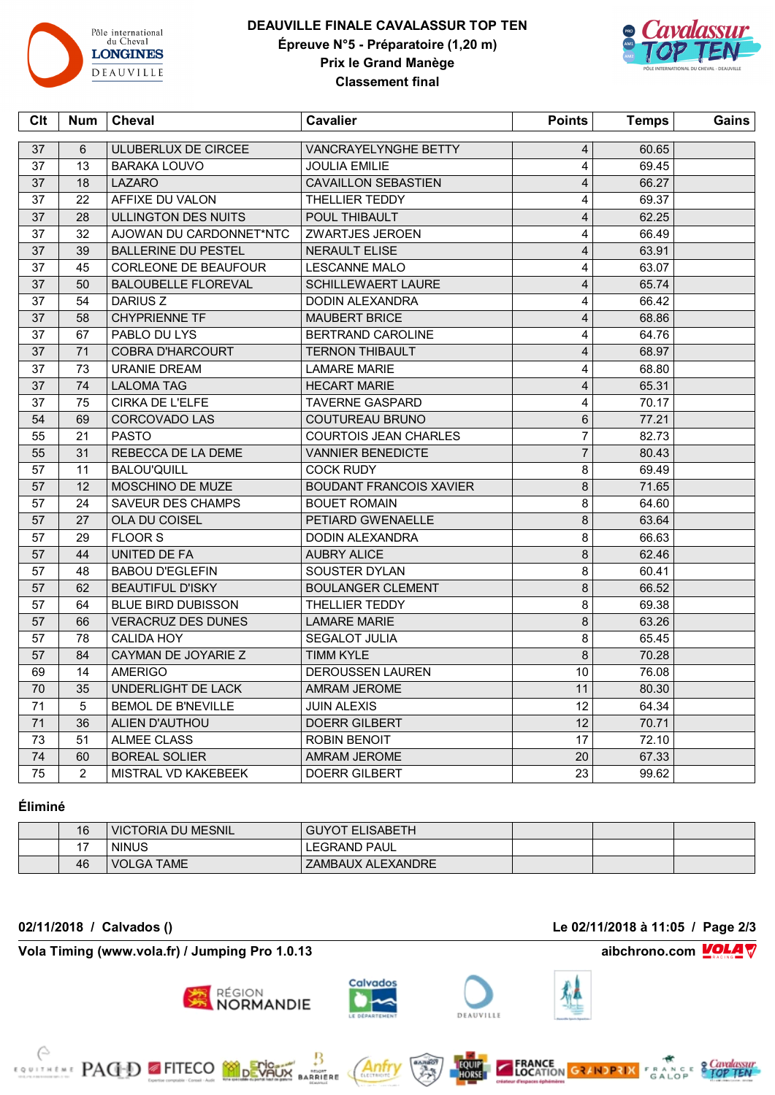

 $\Box$ 

# **DEAUVILLE FINALE CAVALASSUR TOP TEN Épreuve N°5 - Préparatoire (1,20 m) Prix le Grand Manège Classement final**



| Clt | <b>Num</b>     | <b>Cheval</b>              | <b>Cavalier</b>                | <b>Points</b>           | <b>Temps</b> | Gains |
|-----|----------------|----------------------------|--------------------------------|-------------------------|--------------|-------|
| 37  | 6              | ULUBERLUX DE CIRCEE        | VANCRAYELYNGHE BETTY           | $\overline{4}$          | 60.65        |       |
| 37  | 13             | <b>BARAKA LOUVO</b>        | <b>JOULIA EMILIE</b>           | $\overline{4}$          | 69.45        |       |
| 37  | 18             | <b>LAZARO</b>              | <b>CAVAILLON SEBASTIEN</b>     | $\overline{\mathbf{4}}$ | 66.27        |       |
| 37  | 22             | AFFIXE DU VALON            | THELLIER TEDDY                 | $\overline{4}$          | 69.37        |       |
| 37  | 28             | ULLINGTON DES NUITS        | POUL THIBAULT                  | $\overline{4}$          | 62.25        |       |
| 37  | 32             | AJOWAN DU CARDONNET*NTC    | ZWARTJES JEROEN                | $\overline{\mathbf{4}}$ | 66.49        |       |
| 37  | 39             | <b>BALLERINE DU PESTEL</b> | <b>NERAULT ELISE</b>           | $\overline{4}$          | 63.91        |       |
| 37  | 45             | CORLEONE DE BEAUFOUR       | <b>LESCANNE MALO</b>           | $\overline{\mathbf{4}}$ | 63.07        |       |
| 37  | 50             | <b>BALOUBELLE FLOREVAL</b> | <b>SCHILLEWAERT LAURE</b>      | $\overline{4}$          | 65.74        |       |
| 37  | 54             | <b>DARIUS Z</b>            | DODIN ALEXANDRA                | $\overline{\mathbf{4}}$ | 66.42        |       |
| 37  | 58             | <b>CHYPRIENNE TF</b>       | <b>MAUBERT BRICE</b>           | $\overline{\mathbf{4}}$ | 68.86        |       |
| 37  | 67             | PABLO DU LYS               | <b>BERTRAND CAROLINE</b>       | 4                       | 64.76        |       |
| 37  | 71             | <b>COBRA D'HARCOURT</b>    | <b>TERNON THIBAULT</b>         | $\overline{\mathbf{4}}$ | 68.97        |       |
| 37  | 73             | <b>URANIE DREAM</b>        | <b>LAMARE MARIE</b>            | 4                       | 68.80        |       |
| 37  | 74             | <b>LALOMA TAG</b>          | <b>HECART MARIE</b>            | $\overline{\mathbf{4}}$ | 65.31        |       |
| 37  | 75             | CIRKA DE L'ELFE            | <b>TAVERNE GASPARD</b>         | $\overline{\mathbf{4}}$ | 70.17        |       |
| 54  | 69             | <b>CORCOVADO LAS</b>       | COUTUREAU BRUNO                | $6\phantom{1}$          | 77.21        |       |
| 55  | 21             | <b>PASTO</b>               | <b>COURTOIS JEAN CHARLES</b>   | $\overline{7}$          | 82.73        |       |
| 55  | 31             | REBECCA DE LA DEME         | <b>VANNIER BENEDICTE</b>       | $\overline{7}$          | 80.43        |       |
| 57  | 11             | <b>BALOU'QUILL</b>         | <b>COCK RUDY</b>               | 8                       | 69.49        |       |
| 57  | 12             | MOSCHINO DE MUZE           | <b>BOUDANT FRANCOIS XAVIER</b> | $\bf 8$                 | 71.65        |       |
| 57  | 24             | <b>SAVEUR DES CHAMPS</b>   | <b>BOUET ROMAIN</b>            | 8                       | 64.60        |       |
| 57  | 27             | OLA DU COISEL              | PETIARD GWENAELLE              | $\bf 8$                 | 63.64        |       |
| 57  | 29             | <b>FLOOR S</b>             | <b>DODIN ALEXANDRA</b>         | 8                       | 66.63        |       |
| 57  | 44             | UNITED DE FA               | <b>AUBRY ALICE</b>             | $\bf 8$                 | 62.46        |       |
| 57  | 48             | <b>BABOU D'EGLEFIN</b>     | SOUSTER DYLAN                  | 8                       | 60.41        |       |
| 57  | 62             | <b>BEAUTIFUL D'ISKY</b>    | <b>BOULANGER CLEMENT</b>       | 8                       | 66.52        |       |
| 57  | 64             | <b>BLUE BIRD DUBISSON</b>  | THELLIER TEDDY                 | 8                       | 69.38        |       |
| 57  | 66             | <b>VERACRUZ DES DUNES</b>  | <b>LAMARE MARIE</b>            | $\bf 8$                 | 63.26        |       |
| 57  | 78             | <b>CALIDA HOY</b>          | <b>SEGALOT JULIA</b>           | 8                       | 65.45        |       |
| 57  | 84             | CAYMAN DE JOYARIE Z        | <b>TIMM KYLE</b>               | $\bf 8$                 | 70.28        |       |
| 69  | 14             | <b>AMERIGO</b>             | <b>DEROUSSEN LAUREN</b>        | 10                      | 76.08        |       |
| 70  | 35             | UNDERLIGHT DE LACK         | <b>AMRAM JEROME</b>            | 11                      | 80.30        |       |
| 71  | 5              | <b>BEMOL DE B'NEVILLE</b>  | <b>JUIN ALEXIS</b>             | 12                      | 64.34        |       |
| 71  | 36             | ALIEN D'AUTHOU             | <b>DOERR GILBERT</b>           | 12                      | 70.71        |       |
| 73  | 51             | <b>ALMEE CLASS</b>         | <b>ROBIN BENOIT</b>            | 17                      | 72.10        |       |
| 74  | 60             | <b>BOREAL SOLIER</b>       | AMRAM JEROME                   | 20                      | 67.33        |       |
| 75  | $\overline{2}$ | MISTRAL VD KAKEBEEK        | <b>DOERR GILBERT</b>           | 23                      | 99.62        |       |

# **Éliminé**

| 16            | <b>VICTORIA DU MESNIL</b> | <b>GUYOT ELISABETH</b> |  |  |
|---------------|---------------------------|------------------------|--|--|
| $\rightarrow$ | <b>NINUS</b>              | LEGRAND PAUL           |  |  |
| 46            | <b>VOLGA TAME</b>         | ZAMBAUX ALEXANDRE      |  |  |

**Vola Timing (www.vola.fr) / Jumping Pro 1.0.13 aibchrono.com MOLA** 

**EXAMPLE PACED FITECO MODERATION** 

**02/11/2018 / Calvados () Le 02/11/2018 à 11:05 / Page 2/3**





Anfr

₿

**BARRIERE**